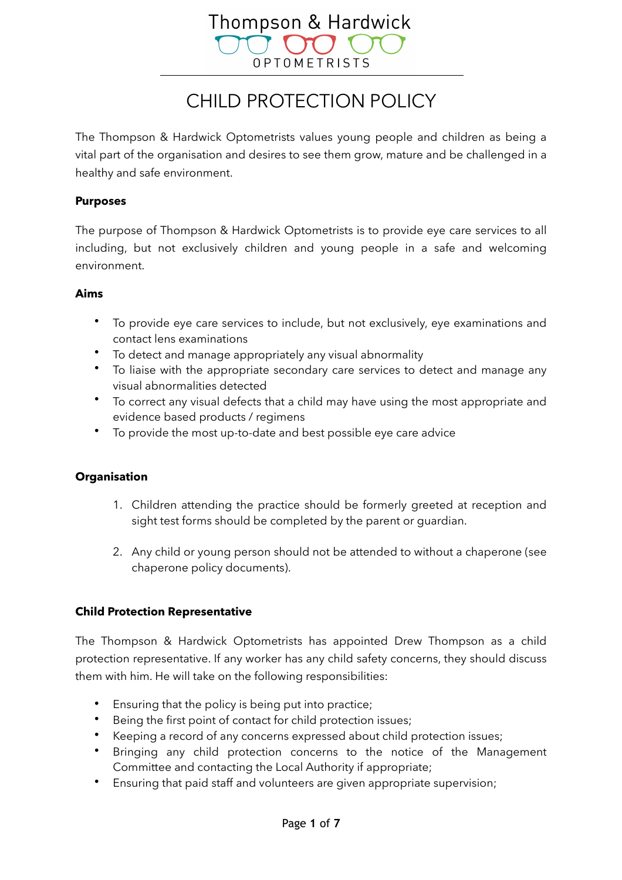# Thompson & Hardwick OPTOMETRISTS

## CHILD PROTECTION POLICY

The Thompson & Hardwick Optometrists values young people and children as being a vital part of the organisation and desires to see them grow, mature and be challenged in a healthy and safe environment.

#### **Purposes**

The purpose of Thompson & Hardwick Optometrists is to provide eye care services to all including, but not exclusively children and young people in a safe and welcoming environment.

#### **Aims**

- To provide eye care services to include, but not exclusively, eye examinations and contact lens examinations
- To detect and manage appropriately any visual abnormality
- To liaise with the appropriate secondary care services to detect and manage any visual abnormalities detected
- To correct any visual defects that a child may have using the most appropriate and evidence based products / regimens
- To provide the most up-to-date and best possible eye care advice

#### **Organisation**

- 1. Children attending the practice should be formerly greeted at reception and sight test forms should be completed by the parent or guardian.
- 2. Any child or young person should not be attended to without a chaperone (see chaperone policy documents).

#### **Child Protection Representative**

The Thompson & Hardwick Optometrists has appointed Drew Thompson as a child protection representative. If any worker has any child safety concerns, they should discuss them with him. He will take on the following responsibilities:

- Ensuring that the policy is being put into practice;
- Being the first point of contact for child protection issues;
- Keeping a record of any concerns expressed about child protection issues;
- Bringing any child protection concerns to the notice of the Management Committee and contacting the Local Authority if appropriate;
- Ensuring that paid staff and volunteers are given appropriate supervision;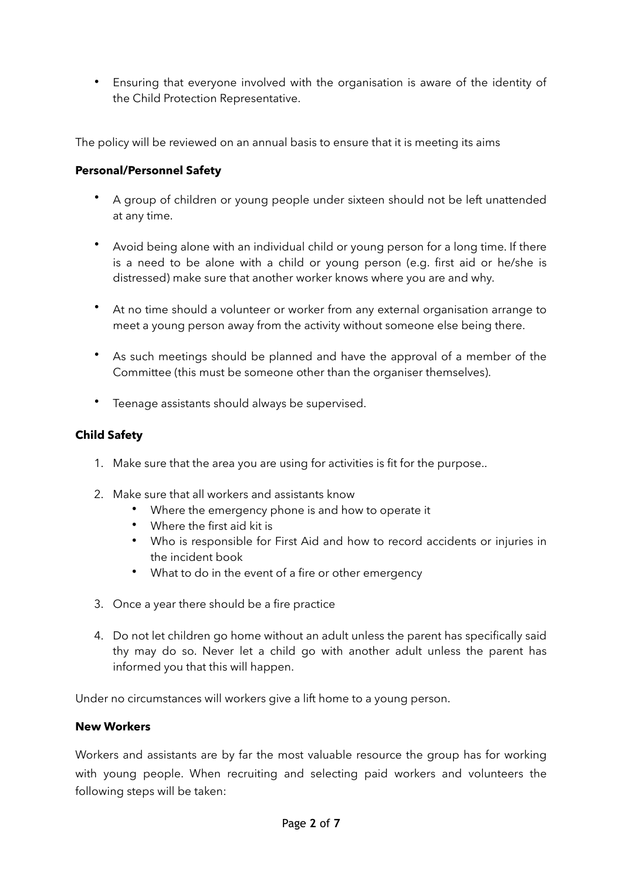• Ensuring that everyone involved with the organisation is aware of the identity of the Child Protection Representative.

The policy will be reviewed on an annual basis to ensure that it is meeting its aims

#### **Personal/Personnel Safety**

- A group of children or young people under sixteen should not be left unattended at any time.
- Avoid being alone with an individual child or young person for a long time. If there is a need to be alone with a child or young person (e.g. first aid or he/she is distressed) make sure that another worker knows where you are and why.
- At no time should a volunteer or worker from any external organisation arrange to meet a young person away from the activity without someone else being there.
- As such meetings should be planned and have the approval of a member of the Committee (this must be someone other than the organiser themselves).
- Teenage assistants should always be supervised.

#### **Child Safety**

- 1. Make sure that the area you are using for activities is fit for the purpose..
- 2. Make sure that all workers and assistants know
	- Where the emergency phone is and how to operate it
	- Where the first aid kit is
	- Who is responsible for First Aid and how to record accidents or injuries in the incident book
	- What to do in the event of a fire or other emergency
- 3. Once a year there should be a fire practice
- 4. Do not let children go home without an adult unless the parent has specifically said thy may do so. Never let a child go with another adult unless the parent has informed you that this will happen.

Under no circumstances will workers give a lift home to a young person.

#### **New Workers**

Workers and assistants are by far the most valuable resource the group has for working with young people. When recruiting and selecting paid workers and volunteers the following steps will be taken: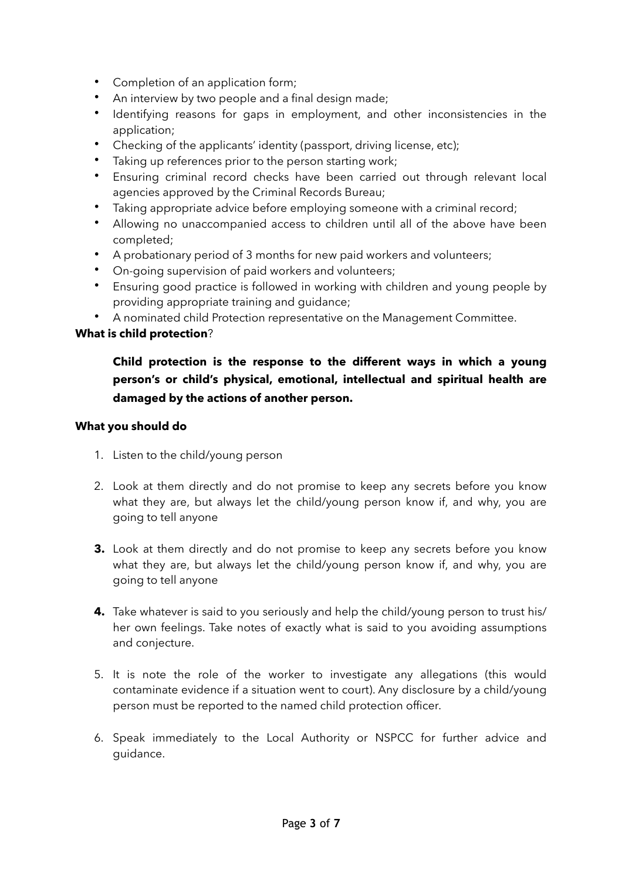- Completion of an application form;
- An interview by two people and a final design made;
- Identifying reasons for gaps in employment, and other inconsistencies in the application;
- Checking of the applicants' identity (passport, driving license, etc);
- Taking up references prior to the person starting work;
- Ensuring criminal record checks have been carried out through relevant local agencies approved by the Criminal Records Bureau;
- Taking appropriate advice before employing someone with a criminal record;
- Allowing no unaccompanied access to children until all of the above have been completed;
- A probationary period of 3 months for new paid workers and volunteers;
- On-going supervision of paid workers and volunteers;
- Ensuring good practice is followed in working with children and young people by providing appropriate training and guidance;
- A nominated child Protection representative on the Management Committee.

#### **What is child protection**?

#### **Child protection is the response to the different ways in which a young person's or child's physical, emotional, intellectual and spiritual health are damaged by the actions of another person.**

#### **What you should do**

- 1. Listen to the child/young person
- 2. Look at them directly and do not promise to keep any secrets before you know what they are, but always let the child/young person know if, and why, you are going to tell anyone
- **3.** Look at them directly and do not promise to keep any secrets before you know what they are, but always let the child/young person know if, and why, you are going to tell anyone
- **4.** Take whatever is said to you seriously and help the child/young person to trust his/ her own feelings. Take notes of exactly what is said to you avoiding assumptions and conjecture.
- 5. It is note the role of the worker to investigate any allegations (this would contaminate evidence if a situation went to court). Any disclosure by a child/young person must be reported to the named child protection officer.
- 6. Speak immediately to the Local Authority or NSPCC for further advice and guidance.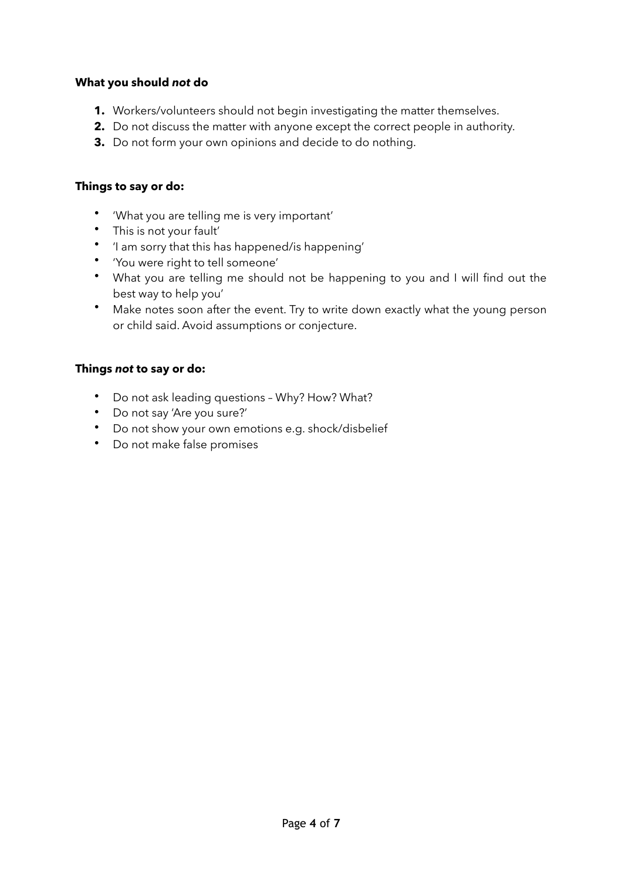#### **What you should** *not* **do**

- **1.** Workers/volunteers should not begin investigating the matter themselves.
- **2.** Do not discuss the matter with anyone except the correct people in authority.
- **3.** Do not form your own opinions and decide to do nothing.

#### **Things to say or do:**

- 'What you are telling me is very important'
- This is not your fault'
- 'I am sorry that this has happened/is happening'
- 'You were right to tell someone'
- What you are telling me should not be happening to you and I will find out the best way to help you'
- Make notes soon after the event. Try to write down exactly what the young person or child said. Avoid assumptions or conjecture.

#### **Things** *not* **to say or do:**

- Do not ask leading questions Why? How? What?
- Do not say 'Are you sure?'
- Do not show your own emotions e.g. shock/disbelief
- Do not make false promises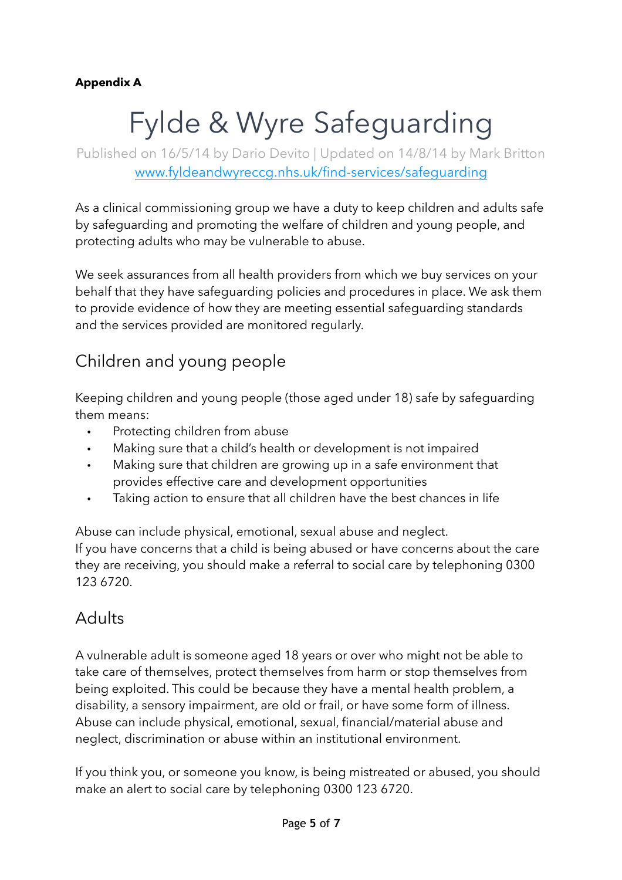#### **Appendix A**

# Fylde & Wyre Safeguarding

Published on 16/5/14 by Dario Devito | Updated on 14/8/14 by Mark Britton [www.fyldeandwyreccg.nhs.uk/find-services/safeguarding](http://www.fyldeandwyreccg.nhs.uk/find-services/safeguarding)

As a clinical commissioning group we have a duty to keep children and adults safe by safeguarding and promoting the welfare of children and young people, and protecting adults who may be vulnerable to abuse.

We seek assurances from all health providers from which we buy services on your behalf that they have safeguarding policies and procedures in place. We ask them to provide evidence of how they are meeting essential safeguarding standards and the services provided are monitored regularly.

## Children and young people

Keeping children and young people (those aged under 18) safe by safeguarding them means:

- Protecting children from abuse
- Making sure that a child's health or development is not impaired
- Making sure that children are growing up in a safe environment that provides effective care and development opportunities
- Taking action to ensure that all children have the best chances in life

Abuse can include physical, emotional, sexual abuse and neglect. If you have concerns that a child is being abused or have concerns about the care they are receiving, you should make a referral to social care by telephoning 0300 123 6720.

### Adults

A vulnerable adult is someone aged 18 years or over who might not be able to take care of themselves, protect themselves from harm or stop themselves from being exploited. This could be because they have a mental health problem, a disability, a sensory impairment, are old or frail, or have some form of illness. Abuse can include physical, emotional, sexual, financial/material abuse and neglect, discrimination or abuse within an institutional environment.

If you think you, or someone you know, is being mistreated or abused, you should make an alert to social care by telephoning 0300 123 6720.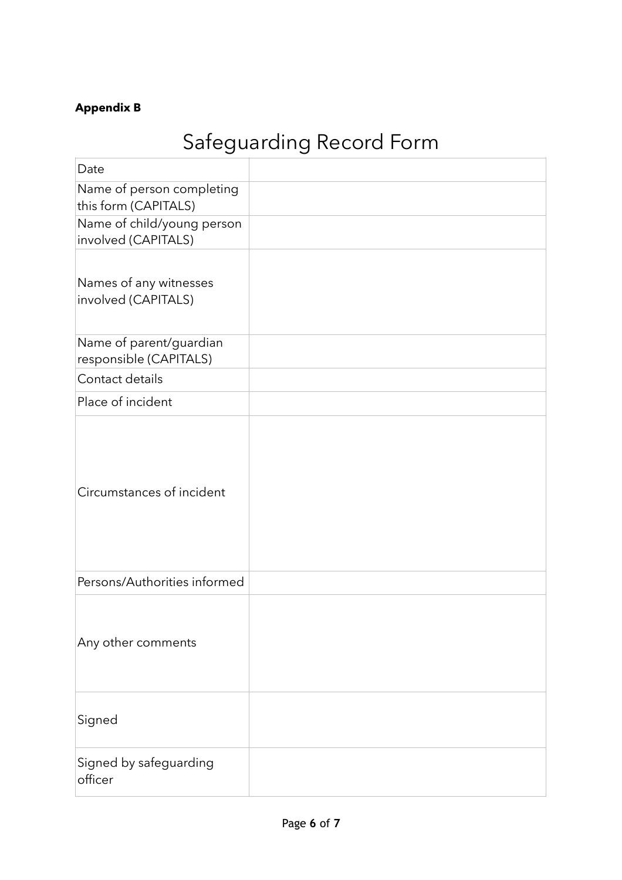#### **Appendix B**

## Safeguarding Record Form

| Date                                              |  |
|---------------------------------------------------|--|
| Name of person completing<br>this form (CAPITALS) |  |
| Name of child/young person<br>involved (CAPITALS) |  |
| Names of any witnesses<br>involved (CAPITALS)     |  |
| Name of parent/guardian<br>responsible (CAPITALS) |  |
| Contact details                                   |  |
| Place of incident                                 |  |
| Circumstances of incident                         |  |
| Persons/Authorities informed                      |  |
| Any other comments                                |  |
| Signed                                            |  |
| Signed by safeguarding<br>officer                 |  |